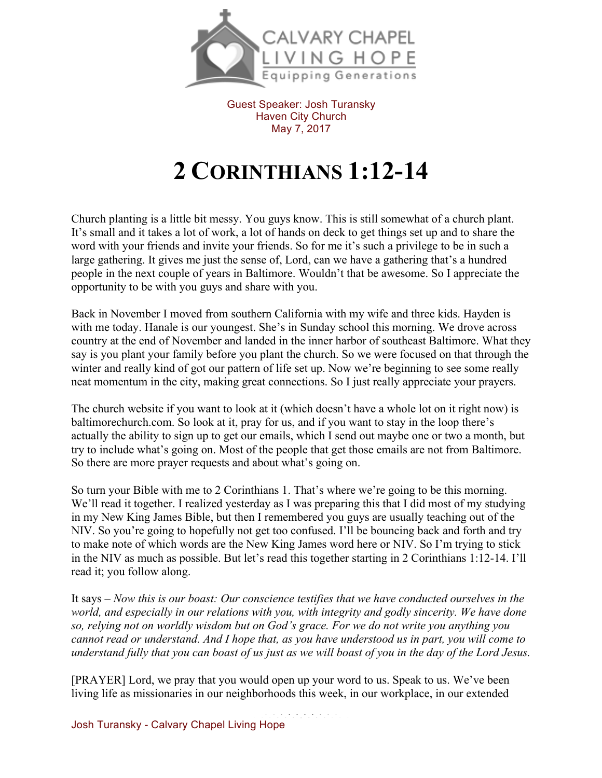

Guest Speaker: Josh Turansky Haven City Church May 7, 2017

## **2 CORINTHIANS 1:12-14**

Church planting is a little bit messy. You guys know. This is still somewhat of a church plant. It's small and it takes a lot of work, a lot of hands on deck to get things set up and to share the word with your friends and invite your friends. So for me it's such a privilege to be in such a large gathering. It gives me just the sense of, Lord, can we have a gathering that's a hundred people in the next couple of years in Baltimore. Wouldn't that be awesome. So I appreciate the opportunity to be with you guys and share with you.

Back in November I moved from southern California with my wife and three kids. Hayden is with me today. Hanale is our youngest. She's in Sunday school this morning. We drove across country at the end of November and landed in the inner harbor of southeast Baltimore. What they say is you plant your family before you plant the church. So we were focused on that through the winter and really kind of got our pattern of life set up. Now we're beginning to see some really neat momentum in the city, making great connections. So I just really appreciate your prayers.

The church website if you want to look at it (which doesn't have a whole lot on it right now) is baltimorechurch.com. So look at it, pray for us, and if you want to stay in the loop there's actually the ability to sign up to get our emails, which I send out maybe one or two a month, but try to include what's going on. Most of the people that get those emails are not from Baltimore. So there are more prayer requests and about what's going on.

So turn your Bible with me to 2 Corinthians 1. That's where we're going to be this morning. We'll read it together. I realized yesterday as I was preparing this that I did most of my studying in my New King James Bible, but then I remembered you guys are usually teaching out of the NIV. So you're going to hopefully not get too confused. I'll be bouncing back and forth and try to make note of which words are the New King James word here or NIV. So I'm trying to stick in the NIV as much as possible. But let's read this together starting in 2 Corinthians 1:12-14. I'll read it; you follow along.

It says – *Now this is our boast: Our conscience testifies that we have conducted ourselves in the world, and especially in our relations with you, with integrity and godly sincerity. We have done so, relying not on worldly wisdom but on God's grace. For we do not write you anything you cannot read or understand. And I hope that, as you have understood us in part, you will come to understand fully that you can boast of us just as we will boast of you in the day of the Lord Jesus.*

[PRAYER] Lord, we pray that you would open up your word to us. Speak to us. We've been living life as missionaries in our neighborhoods this week, in our workplace, in our extended

Josh Turansky - Calvary Chapel Living Hope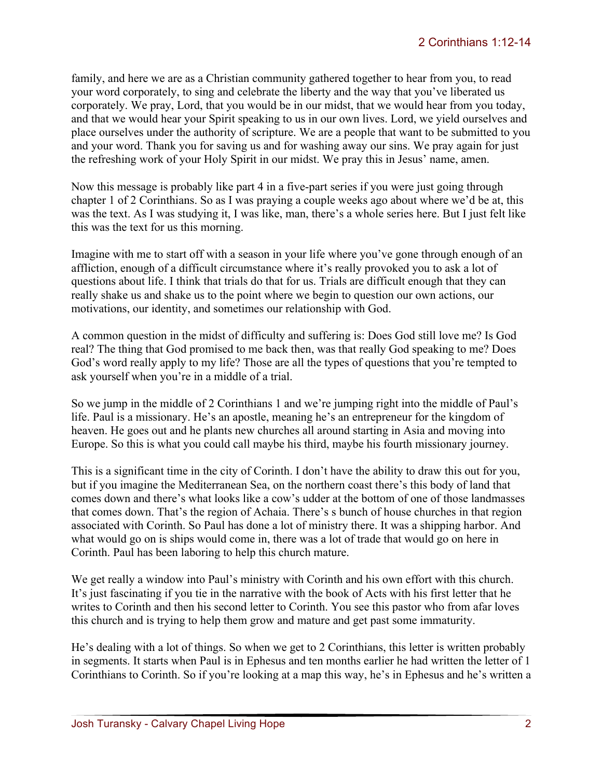family, and here we are as a Christian community gathered together to hear from you, to read your word corporately, to sing and celebrate the liberty and the way that you've liberated us corporately. We pray, Lord, that you would be in our midst, that we would hear from you today, and that we would hear your Spirit speaking to us in our own lives. Lord, we yield ourselves and place ourselves under the authority of scripture. We are a people that want to be submitted to you and your word. Thank you for saving us and for washing away our sins. We pray again for just the refreshing work of your Holy Spirit in our midst. We pray this in Jesus' name, amen.

Now this message is probably like part 4 in a five-part series if you were just going through chapter 1 of 2 Corinthians. So as I was praying a couple weeks ago about where we'd be at, this was the text. As I was studying it, I was like, man, there's a whole series here. But I just felt like this was the text for us this morning.

Imagine with me to start off with a season in your life where you've gone through enough of an affliction, enough of a difficult circumstance where it's really provoked you to ask a lot of questions about life. I think that trials do that for us. Trials are difficult enough that they can really shake us and shake us to the point where we begin to question our own actions, our motivations, our identity, and sometimes our relationship with God.

A common question in the midst of difficulty and suffering is: Does God still love me? Is God real? The thing that God promised to me back then, was that really God speaking to me? Does God's word really apply to my life? Those are all the types of questions that you're tempted to ask yourself when you're in a middle of a trial.

So we jump in the middle of 2 Corinthians 1 and we're jumping right into the middle of Paul's life. Paul is a missionary. He's an apostle, meaning he's an entrepreneur for the kingdom of heaven. He goes out and he plants new churches all around starting in Asia and moving into Europe. So this is what you could call maybe his third, maybe his fourth missionary journey.

This is a significant time in the city of Corinth. I don't have the ability to draw this out for you, but if you imagine the Mediterranean Sea, on the northern coast there's this body of land that comes down and there's what looks like a cow's udder at the bottom of one of those landmasses that comes down. That's the region of Achaia. There's s bunch of house churches in that region associated with Corinth. So Paul has done a lot of ministry there. It was a shipping harbor. And what would go on is ships would come in, there was a lot of trade that would go on here in Corinth. Paul has been laboring to help this church mature.

We get really a window into Paul's ministry with Corinth and his own effort with this church. It's just fascinating if you tie in the narrative with the book of Acts with his first letter that he writes to Corinth and then his second letter to Corinth. You see this pastor who from afar loves this church and is trying to help them grow and mature and get past some immaturity.

He's dealing with a lot of things. So when we get to 2 Corinthians, this letter is written probably in segments. It starts when Paul is in Ephesus and ten months earlier he had written the letter of 1 Corinthians to Corinth. So if you're looking at a map this way, he's in Ephesus and he's written a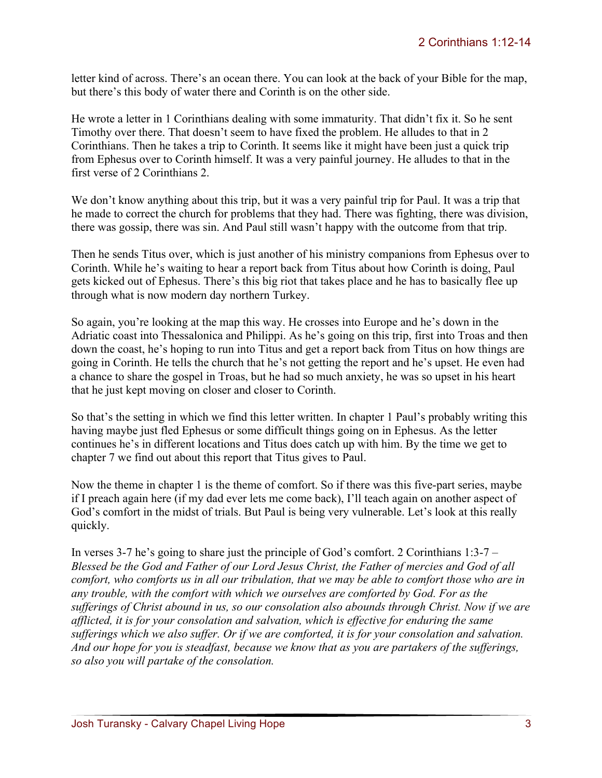letter kind of across. There's an ocean there. You can look at the back of your Bible for the map, but there's this body of water there and Corinth is on the other side.

He wrote a letter in 1 Corinthians dealing with some immaturity. That didn't fix it. So he sent Timothy over there. That doesn't seem to have fixed the problem. He alludes to that in 2 Corinthians. Then he takes a trip to Corinth. It seems like it might have been just a quick trip from Ephesus over to Corinth himself. It was a very painful journey. He alludes to that in the first verse of 2 Corinthians 2.

We don't know anything about this trip, but it was a very painful trip for Paul. It was a trip that he made to correct the church for problems that they had. There was fighting, there was division, there was gossip, there was sin. And Paul still wasn't happy with the outcome from that trip.

Then he sends Titus over, which is just another of his ministry companions from Ephesus over to Corinth. While he's waiting to hear a report back from Titus about how Corinth is doing, Paul gets kicked out of Ephesus. There's this big riot that takes place and he has to basically flee up through what is now modern day northern Turkey.

So again, you're looking at the map this way. He crosses into Europe and he's down in the Adriatic coast into Thessalonica and Philippi. As he's going on this trip, first into Troas and then down the coast, he's hoping to run into Titus and get a report back from Titus on how things are going in Corinth. He tells the church that he's not getting the report and he's upset. He even had a chance to share the gospel in Troas, but he had so much anxiety, he was so upset in his heart that he just kept moving on closer and closer to Corinth.

So that's the setting in which we find this letter written. In chapter 1 Paul's probably writing this having maybe just fled Ephesus or some difficult things going on in Ephesus. As the letter continues he's in different locations and Titus does catch up with him. By the time we get to chapter 7 we find out about this report that Titus gives to Paul.

Now the theme in chapter 1 is the theme of comfort. So if there was this five-part series, maybe if I preach again here (if my dad ever lets me come back), I'll teach again on another aspect of God's comfort in the midst of trials. But Paul is being very vulnerable. Let's look at this really quickly.

In verses 3-7 he's going to share just the principle of God's comfort. 2 Corinthians 1:3-7 – *Blessed be the God and Father of our Lord Jesus Christ, the Father of mercies and God of all comfort, who comforts us in all our tribulation, that we may be able to comfort those who are in any trouble, with the comfort with which we ourselves are comforted by God. For as the sufferings of Christ abound in us, so our consolation also abounds through Christ. Now if we are afflicted, it is for your consolation and salvation, which is effective for enduring the same sufferings which we also suffer. Or if we are comforted, it is for your consolation and salvation. And our hope for you is steadfast, because we know that as you are partakers of the sufferings, so also you will partake of the consolation.*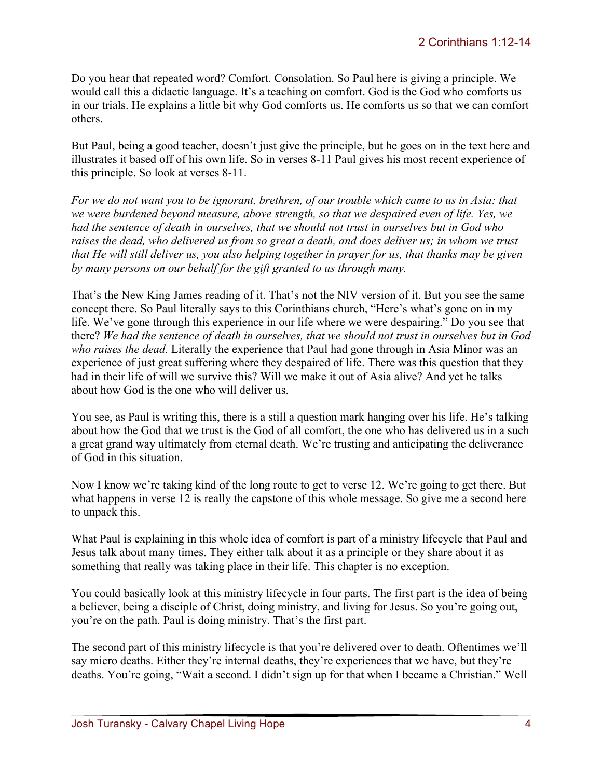Do you hear that repeated word? Comfort. Consolation. So Paul here is giving a principle. We would call this a didactic language. It's a teaching on comfort. God is the God who comforts us in our trials. He explains a little bit why God comforts us. He comforts us so that we can comfort others.

But Paul, being a good teacher, doesn't just give the principle, but he goes on in the text here and illustrates it based off of his own life. So in verses 8-11 Paul gives his most recent experience of this principle. So look at verses 8-11.

*For we do not want you to be ignorant, brethren, of our trouble which came to us in Asia: that we were burdened beyond measure, above strength, so that we despaired even of life. Yes, we had the sentence of death in ourselves, that we should not trust in ourselves but in God who raises the dead, who delivered us from so great a death, and does deliver us; in whom we trust that He will still deliver us, you also helping together in prayer for us, that thanks may be given by many persons on our behalf for the gift granted to us through many.*

That's the New King James reading of it. That's not the NIV version of it. But you see the same concept there. So Paul literally says to this Corinthians church, "Here's what's gone on in my life. We've gone through this experience in our life where we were despairing." Do you see that there? *We had the sentence of death in ourselves, that we should not trust in ourselves but in God who raises the dead.* Literally the experience that Paul had gone through in Asia Minor was an experience of just great suffering where they despaired of life. There was this question that they had in their life of will we survive this? Will we make it out of Asia alive? And yet he talks about how God is the one who will deliver us.

You see, as Paul is writing this, there is a still a question mark hanging over his life. He's talking about how the God that we trust is the God of all comfort, the one who has delivered us in a such a great grand way ultimately from eternal death. We're trusting and anticipating the deliverance of God in this situation.

Now I know we're taking kind of the long route to get to verse 12. We're going to get there. But what happens in verse 12 is really the capstone of this whole message. So give me a second here to unpack this.

What Paul is explaining in this whole idea of comfort is part of a ministry lifecycle that Paul and Jesus talk about many times. They either talk about it as a principle or they share about it as something that really was taking place in their life. This chapter is no exception.

You could basically look at this ministry lifecycle in four parts. The first part is the idea of being a believer, being a disciple of Christ, doing ministry, and living for Jesus. So you're going out, you're on the path. Paul is doing ministry. That's the first part.

The second part of this ministry lifecycle is that you're delivered over to death. Oftentimes we'll say micro deaths. Either they're internal deaths, they're experiences that we have, but they're deaths. You're going, "Wait a second. I didn't sign up for that when I became a Christian." Well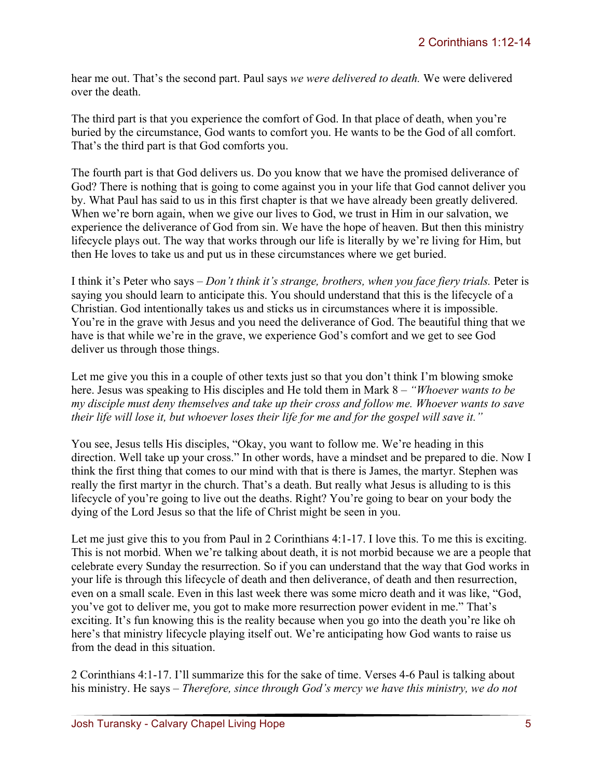hear me out. That's the second part. Paul says *we were delivered to death.* We were delivered over the death.

The third part is that you experience the comfort of God. In that place of death, when you're buried by the circumstance, God wants to comfort you. He wants to be the God of all comfort. That's the third part is that God comforts you.

The fourth part is that God delivers us. Do you know that we have the promised deliverance of God? There is nothing that is going to come against you in your life that God cannot deliver you by. What Paul has said to us in this first chapter is that we have already been greatly delivered. When we're born again, when we give our lives to God, we trust in Him in our salvation, we experience the deliverance of God from sin. We have the hope of heaven. But then this ministry lifecycle plays out. The way that works through our life is literally by we're living for Him, but then He loves to take us and put us in these circumstances where we get buried.

I think it's Peter who says – *Don't think it's strange, brothers, when you face fiery trials.* Peter is saying you should learn to anticipate this. You should understand that this is the lifecycle of a Christian. God intentionally takes us and sticks us in circumstances where it is impossible. You're in the grave with Jesus and you need the deliverance of God. The beautiful thing that we have is that while we're in the grave, we experience God's comfort and we get to see God deliver us through those things.

Let me give you this in a couple of other texts just so that you don't think I'm blowing smoke here. Jesus was speaking to His disciples and He told them in Mark 8 – *"Whoever wants to be my disciple must deny themselves and take up their cross and follow me. Whoever wants to save their life will lose it, but whoever loses their life for me and for the gospel will save it."*

You see, Jesus tells His disciples, "Okay, you want to follow me. We're heading in this direction. Well take up your cross." In other words, have a mindset and be prepared to die. Now I think the first thing that comes to our mind with that is there is James, the martyr. Stephen was really the first martyr in the church. That's a death. But really what Jesus is alluding to is this lifecycle of you're going to live out the deaths. Right? You're going to bear on your body the dying of the Lord Jesus so that the life of Christ might be seen in you.

Let me just give this to you from Paul in 2 Corinthians 4:1-17. I love this. To me this is exciting. This is not morbid. When we're talking about death, it is not morbid because we are a people that celebrate every Sunday the resurrection. So if you can understand that the way that God works in your life is through this lifecycle of death and then deliverance, of death and then resurrection, even on a small scale. Even in this last week there was some micro death and it was like, "God, you've got to deliver me, you got to make more resurrection power evident in me." That's exciting. It's fun knowing this is the reality because when you go into the death you're like oh here's that ministry lifecycle playing itself out. We're anticipating how God wants to raise us from the dead in this situation.

2 Corinthians 4:1-17. I'll summarize this for the sake of time. Verses 4-6 Paul is talking about his ministry. He says – *Therefore, since through God's mercy we have this ministry, we do not*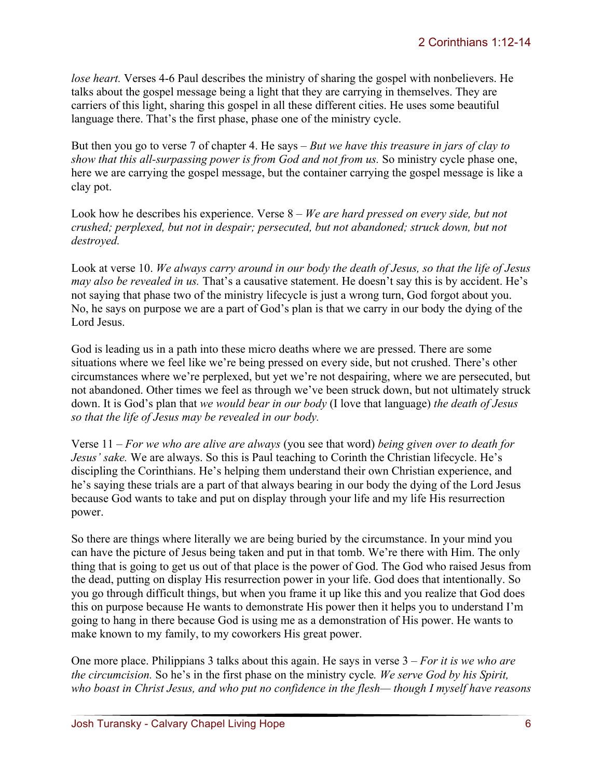*lose heart.* Verses 4-6 Paul describes the ministry of sharing the gospel with nonbelievers. He talks about the gospel message being a light that they are carrying in themselves. They are carriers of this light, sharing this gospel in all these different cities. He uses some beautiful language there. That's the first phase, phase one of the ministry cycle.

But then you go to verse 7 of chapter 4. He says – *But we have this treasure in jars of clay to show that this all-surpassing power is from God and not from us.* So ministry cycle phase one, here we are carrying the gospel message, but the container carrying the gospel message is like a clay pot.

Look how he describes his experience. Verse 8 – *We are hard pressed on every side, but not crushed; perplexed, but not in despair; persecuted, but not abandoned; struck down, but not destroyed.* 

Look at verse 10. *We always carry around in our body the death of Jesus, so that the life of Jesus may also be revealed in us.* That's a causative statement. He doesn't say this is by accident. He's not saying that phase two of the ministry lifecycle is just a wrong turn, God forgot about you. No, he says on purpose we are a part of God's plan is that we carry in our body the dying of the Lord Jesus.

God is leading us in a path into these micro deaths where we are pressed. There are some situations where we feel like we're being pressed on every side, but not crushed. There's other circumstances where we're perplexed, but yet we're not despairing, where we are persecuted, but not abandoned. Other times we feel as through we've been struck down, but not ultimately struck down. It is God's plan that *we would bear in our body* (I love that language) *the death of Jesus so that the life of Jesus may be revealed in our body.*

Verse 11 – *For we who are alive are always* (you see that word) *being given over to death for Jesus' sake.* We are always. So this is Paul teaching to Corinth the Christian lifecycle. He's discipling the Corinthians. He's helping them understand their own Christian experience, and he's saying these trials are a part of that always bearing in our body the dying of the Lord Jesus because God wants to take and put on display through your life and my life His resurrection power.

So there are things where literally we are being buried by the circumstance. In your mind you can have the picture of Jesus being taken and put in that tomb. We're there with Him. The only thing that is going to get us out of that place is the power of God. The God who raised Jesus from the dead, putting on display His resurrection power in your life. God does that intentionally. So you go through difficult things, but when you frame it up like this and you realize that God does this on purpose because He wants to demonstrate His power then it helps you to understand I'm going to hang in there because God is using me as a demonstration of His power. He wants to make known to my family, to my coworkers His great power.

One more place. Philippians 3 talks about this again. He says in verse 3 – *For it is we who are the circumcision.* So he's in the first phase on the ministry cycle*. We serve God by his Spirit, who boast in Christ Jesus, and who put no confidence in the flesh— though I myself have reasons*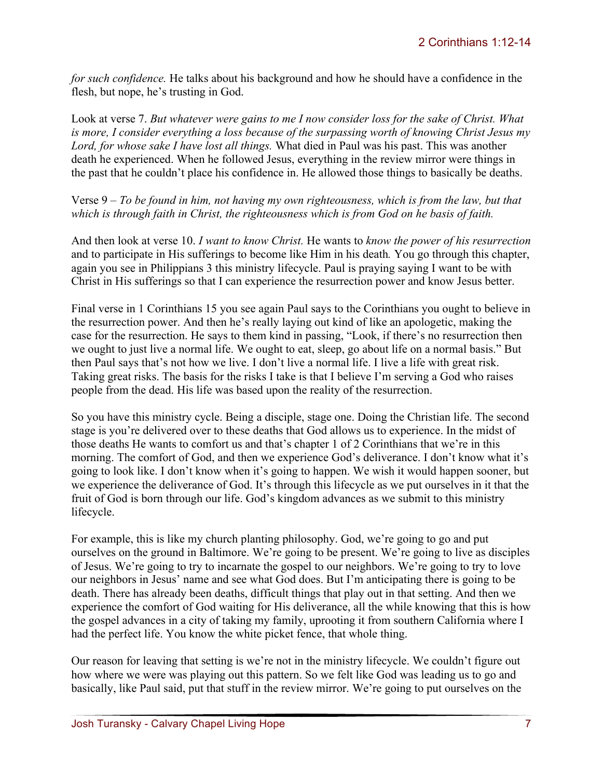*for such confidence.* He talks about his background and how he should have a confidence in the flesh, but nope, he's trusting in God.

Look at verse 7. *But whatever were gains to me I now consider loss for the sake of Christ. What is more, I consider everything a loss because of the surpassing worth of knowing Christ Jesus my Lord, for whose sake I have lost all things.* What died in Paul was his past. This was another death he experienced. When he followed Jesus, everything in the review mirror were things in the past that he couldn't place his confidence in. He allowed those things to basically be deaths.

Verse 9 – *To be found in him, not having my own righteousness, which is from the law, but that which is through faith in Christ, the righteousness which is from God on he basis of faith.* 

And then look at verse 10. *I want to know Christ.* He wants to *know the power of his resurrection* and to participate in His sufferings to become like Him in his death*.* You go through this chapter, again you see in Philippians 3 this ministry lifecycle. Paul is praying saying I want to be with Christ in His sufferings so that I can experience the resurrection power and know Jesus better.

Final verse in 1 Corinthians 15 you see again Paul says to the Corinthians you ought to believe in the resurrection power. And then he's really laying out kind of like an apologetic, making the case for the resurrection. He says to them kind in passing, "Look, if there's no resurrection then we ought to just live a normal life. We ought to eat, sleep, go about life on a normal basis." But then Paul says that's not how we live. I don't live a normal life. I live a life with great risk. Taking great risks. The basis for the risks I take is that I believe I'm serving a God who raises people from the dead. His life was based upon the reality of the resurrection.

So you have this ministry cycle. Being a disciple, stage one. Doing the Christian life. The second stage is you're delivered over to these deaths that God allows us to experience. In the midst of those deaths He wants to comfort us and that's chapter 1 of 2 Corinthians that we're in this morning. The comfort of God, and then we experience God's deliverance. I don't know what it's going to look like. I don't know when it's going to happen. We wish it would happen sooner, but we experience the deliverance of God. It's through this lifecycle as we put ourselves in it that the fruit of God is born through our life. God's kingdom advances as we submit to this ministry lifecycle.

For example, this is like my church planting philosophy. God, we're going to go and put ourselves on the ground in Baltimore. We're going to be present. We're going to live as disciples of Jesus. We're going to try to incarnate the gospel to our neighbors. We're going to try to love our neighbors in Jesus' name and see what God does. But I'm anticipating there is going to be death. There has already been deaths, difficult things that play out in that setting. And then we experience the comfort of God waiting for His deliverance, all the while knowing that this is how the gospel advances in a city of taking my family, uprooting it from southern California where I had the perfect life. You know the white picket fence, that whole thing.

Our reason for leaving that setting is we're not in the ministry lifecycle. We couldn't figure out how where we were was playing out this pattern. So we felt like God was leading us to go and basically, like Paul said, put that stuff in the review mirror. We're going to put ourselves on the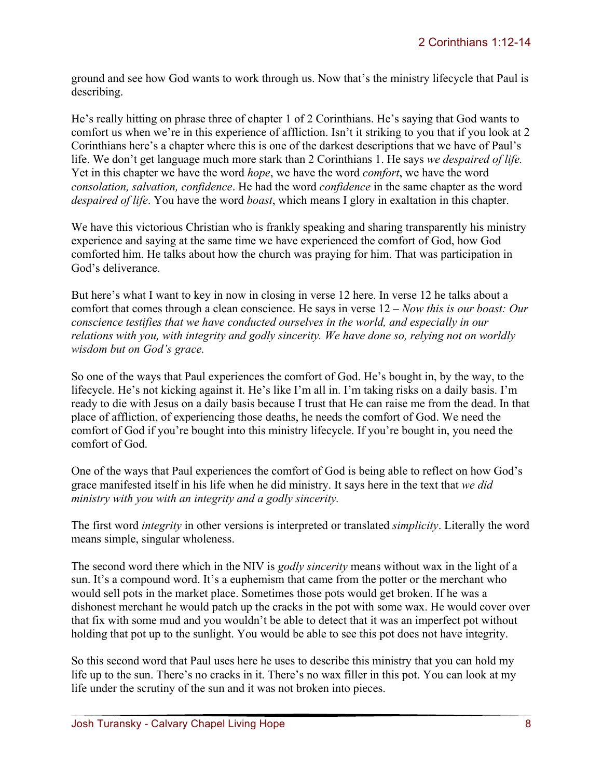ground and see how God wants to work through us. Now that's the ministry lifecycle that Paul is describing.

He's really hitting on phrase three of chapter 1 of 2 Corinthians. He's saying that God wants to comfort us when we're in this experience of affliction. Isn't it striking to you that if you look at 2 Corinthians here's a chapter where this is one of the darkest descriptions that we have of Paul's life. We don't get language much more stark than 2 Corinthians 1. He says *we despaired of life.*  Yet in this chapter we have the word *hope*, we have the word *comfort*, we have the word *consolation, salvation, confidence*. He had the word *confidence* in the same chapter as the word *despaired of life*. You have the word *boast*, which means I glory in exaltation in this chapter.

We have this victorious Christian who is frankly speaking and sharing transparently his ministry experience and saying at the same time we have experienced the comfort of God, how God comforted him. He talks about how the church was praying for him. That was participation in God's deliverance.

But here's what I want to key in now in closing in verse 12 here. In verse 12 he talks about a comfort that comes through a clean conscience. He says in verse 12 – *Now this is our boast: Our conscience testifies that we have conducted ourselves in the world, and especially in our relations with you, with integrity and godly sincerity. We have done so, relying not on worldly wisdom but on God's grace.* 

So one of the ways that Paul experiences the comfort of God. He's bought in, by the way, to the lifecycle. He's not kicking against it. He's like I'm all in. I'm taking risks on a daily basis. I'm ready to die with Jesus on a daily basis because I trust that He can raise me from the dead. In that place of affliction, of experiencing those deaths, he needs the comfort of God. We need the comfort of God if you're bought into this ministry lifecycle. If you're bought in, you need the comfort of God.

One of the ways that Paul experiences the comfort of God is being able to reflect on how God's grace manifested itself in his life when he did ministry. It says here in the text that *we did ministry with you with an integrity and a godly sincerity.*

The first word *integrity* in other versions is interpreted or translated *simplicity*. Literally the word means simple, singular wholeness.

The second word there which in the NIV is *godly sincerity* means without wax in the light of a sun. It's a compound word. It's a euphemism that came from the potter or the merchant who would sell pots in the market place. Sometimes those pots would get broken. If he was a dishonest merchant he would patch up the cracks in the pot with some wax. He would cover over that fix with some mud and you wouldn't be able to detect that it was an imperfect pot without holding that pot up to the sunlight. You would be able to see this pot does not have integrity.

So this second word that Paul uses here he uses to describe this ministry that you can hold my life up to the sun. There's no cracks in it. There's no wax filler in this pot. You can look at my life under the scrutiny of the sun and it was not broken into pieces.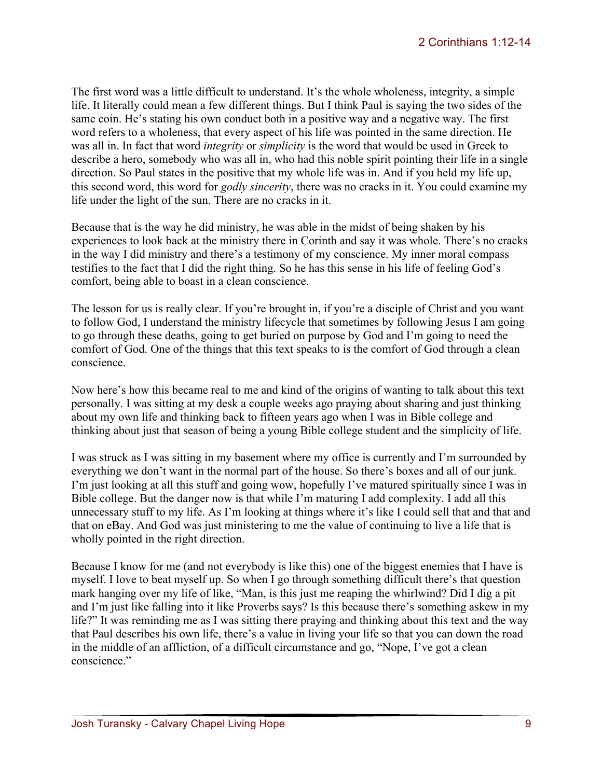The first word was a little difficult to understand. It's the whole wholeness, integrity, a simple life. It literally could mean a few different things. But I think Paul is saying the two sides of the same coin. He's stating his own conduct both in a positive way and a negative way. The first word refers to a wholeness, that every aspect of his life was pointed in the same direction. He was all in. In fact that word *integrity* or *simplicity* is the word that would be used in Greek to describe a hero, somebody who was all in, who had this noble spirit pointing their life in a single direction. So Paul states in the positive that my whole life was in. And if you held my life up, this second word, this word for *godly sincerity*, there was no cracks in it. You could examine my life under the light of the sun. There are no cracks in it.

Because that is the way he did ministry, he was able in the midst of being shaken by his experiences to look back at the ministry there in Corinth and say it was whole. There's no cracks in the way I did ministry and there's a testimony of my conscience. My inner moral compass testifies to the fact that I did the right thing. So he has this sense in his life of feeling God's comfort, being able to boast in a clean conscience.

The lesson for us is really clear. If you're brought in, if you're a disciple of Christ and you want to follow God, I understand the ministry lifecycle that sometimes by following Jesus I am going to go through these deaths, going to get buried on purpose by God and I'm going to need the comfort of God. One of the things that this text speaks to is the comfort of God through a clean conscience.

Now here's how this became real to me and kind of the origins of wanting to talk about this text personally. I was sitting at my desk a couple weeks ago praying about sharing and just thinking about my own life and thinking back to fifteen years ago when I was in Bible college and thinking about just that season of being a young Bible college student and the simplicity of life.

I was struck as I was sitting in my basement where my office is currently and I'm surrounded by everything we don't want in the normal part of the house. So there's boxes and all of our junk. I'm just looking at all this stuff and going wow, hopefully I've matured spiritually since I was in Bible college. But the danger now is that while I'm maturing I add complexity. I add all this unnecessary stuff to my life. As I'm looking at things where it's like I could sell that and that and that on eBay. And God was just ministering to me the value of continuing to live a life that is wholly pointed in the right direction.

Because I know for me (and not everybody is like this) one of the biggest enemies that I have is myself. I love to beat myself up. So when I go through something difficult there's that question mark hanging over my life of like, "Man, is this just me reaping the whirlwind? Did I dig a pit and I'm just like falling into it like Proverbs says? Is this because there's something askew in my life?" It was reminding me as I was sitting there praying and thinking about this text and the way that Paul describes his own life, there's a value in living your life so that you can down the road in the middle of an affliction, of a difficult circumstance and go, "Nope, I've got a clean conscience."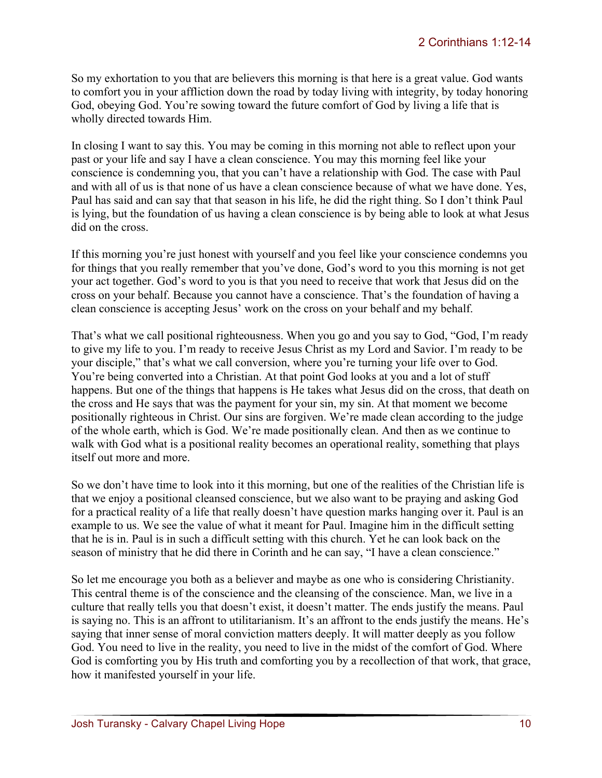So my exhortation to you that are believers this morning is that here is a great value. God wants to comfort you in your affliction down the road by today living with integrity, by today honoring God, obeying God. You're sowing toward the future comfort of God by living a life that is wholly directed towards Him.

In closing I want to say this. You may be coming in this morning not able to reflect upon your past or your life and say I have a clean conscience. You may this morning feel like your conscience is condemning you, that you can't have a relationship with God. The case with Paul and with all of us is that none of us have a clean conscience because of what we have done. Yes, Paul has said and can say that that season in his life, he did the right thing. So I don't think Paul is lying, but the foundation of us having a clean conscience is by being able to look at what Jesus did on the cross.

If this morning you're just honest with yourself and you feel like your conscience condemns you for things that you really remember that you've done, God's word to you this morning is not get your act together. God's word to you is that you need to receive that work that Jesus did on the cross on your behalf. Because you cannot have a conscience. That's the foundation of having a clean conscience is accepting Jesus' work on the cross on your behalf and my behalf.

That's what we call positional righteousness. When you go and you say to God, "God, I'm ready to give my life to you. I'm ready to receive Jesus Christ as my Lord and Savior. I'm ready to be your disciple," that's what we call conversion, where you're turning your life over to God. You're being converted into a Christian. At that point God looks at you and a lot of stuff happens. But one of the things that happens is He takes what Jesus did on the cross, that death on the cross and He says that was the payment for your sin, my sin. At that moment we become positionally righteous in Christ. Our sins are forgiven. We're made clean according to the judge of the whole earth, which is God. We're made positionally clean. And then as we continue to walk with God what is a positional reality becomes an operational reality, something that plays itself out more and more.

So we don't have time to look into it this morning, but one of the realities of the Christian life is that we enjoy a positional cleansed conscience, but we also want to be praying and asking God for a practical reality of a life that really doesn't have question marks hanging over it. Paul is an example to us. We see the value of what it meant for Paul. Imagine him in the difficult setting that he is in. Paul is in such a difficult setting with this church. Yet he can look back on the season of ministry that he did there in Corinth and he can say, "I have a clean conscience."

So let me encourage you both as a believer and maybe as one who is considering Christianity. This central theme is of the conscience and the cleansing of the conscience. Man, we live in a culture that really tells you that doesn't exist, it doesn't matter. The ends justify the means. Paul is saying no. This is an affront to utilitarianism. It's an affront to the ends justify the means. He's saying that inner sense of moral conviction matters deeply. It will matter deeply as you follow God. You need to live in the reality, you need to live in the midst of the comfort of God. Where God is comforting you by His truth and comforting you by a recollection of that work, that grace, how it manifested yourself in your life.